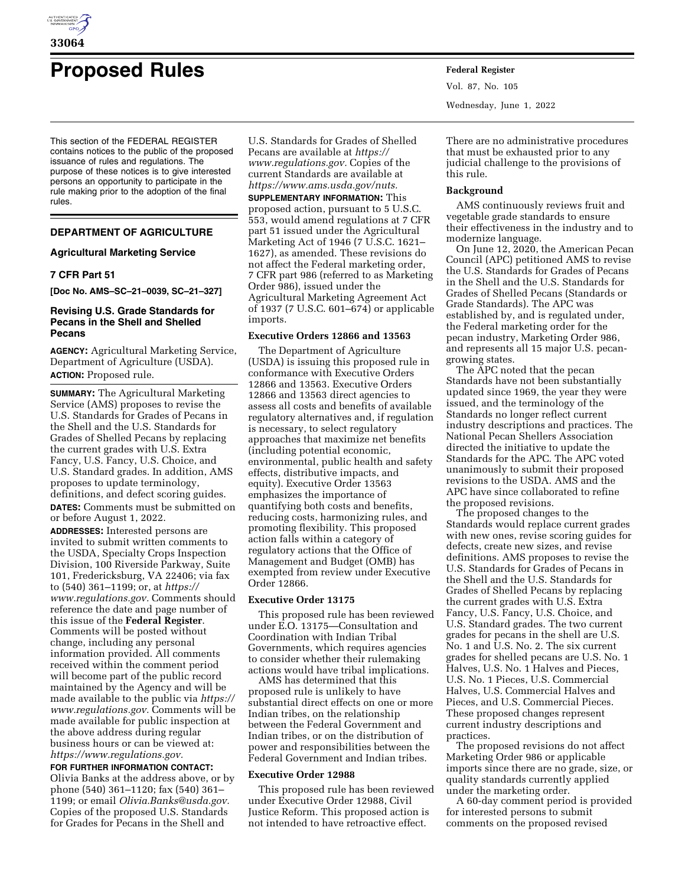

# **Proposed Rules Federal Register**

This section of the FEDERAL REGISTER contains notices to the public of the proposed issuance of rules and regulations. The purpose of these notices is to give interested persons an opportunity to participate in the rule making prior to the adoption of the final rules.

# **DEPARTMENT OF AGRICULTURE**

## **Agricultural Marketing Service**

# **7 CFR Part 51**

**[Doc No. AMS–SC–21–0039, SC–21–327]** 

# **Revising U.S. Grade Standards for Pecans in the Shell and Shelled Pecans**

**AGENCY:** Agricultural Marketing Service, Department of Agriculture (USDA). **ACTION:** Proposed rule.

**SUMMARY:** The Agricultural Marketing Service (AMS) proposes to revise the U.S. Standards for Grades of Pecans in the Shell and the U.S. Standards for Grades of Shelled Pecans by replacing the current grades with U.S. Extra Fancy, U.S. Fancy, U.S. Choice, and U.S. Standard grades. In addition, AMS proposes to update terminology, definitions, and defect scoring guides.

**DATES:** Comments must be submitted on or before August 1, 2022.

**ADDRESSES:** Interested persons are invited to submit written comments to the USDA, Specialty Crops Inspection Division, 100 Riverside Parkway, Suite 101, Fredericksburg, VA 22406; via fax to (540) 361–1199; or, at *[https://](https://www.regulations.gov) [www.regulations.gov.](https://www.regulations.gov)* Comments should reference the date and page number of this issue of the **Federal Register**. Comments will be posted without change, including any personal information provided. All comments received within the comment period will become part of the public record maintained by the Agency and will be made available to the public via *[https://](https://www.regulations.gov)  [www.regulations.gov.](https://www.regulations.gov)* Comments will be made available for public inspection at the above address during regular business hours or can be viewed at: *[https://www.regulations.gov.](https://www.regulations.gov)* 

**FOR FURTHER INFORMATION CONTACT:**  Olivia Banks at the address above, or by phone (540) 361–1120; fax (540) 361– 1199; or email *[Olivia.Banks@usda.gov.](mailto:Olivia.Banks@usda.gov)*  Copies of the proposed U.S. Standards for Grades for Pecans in the Shell and

U.S. Standards for Grades of Shelled Pecans are available at *[https://](https://www.regulations.gov) [www.regulations.gov.](https://www.regulations.gov)* Copies of the current Standards are available at *[https://www.ams.usda.gov/nuts.](https://www.ams.usda.gov/nuts)* 

**SUPPLEMENTARY INFORMATION:** This proposed action, pursuant to 5 U.S.C. 553, would amend regulations at 7 CFR part 51 issued under the Agricultural Marketing Act of 1946 (7 U.S.C. 1621– 1627), as amended. These revisions do not affect the Federal marketing order, 7 CFR part 986 (referred to as Marketing Order 986), issued under the Agricultural Marketing Agreement Act of 1937 (7 U.S.C. 601–674) or applicable imports.

## **Executive Orders 12866 and 13563**

The Department of Agriculture (USDA) is issuing this proposed rule in conformance with Executive Orders 12866 and 13563. Executive Orders 12866 and 13563 direct agencies to assess all costs and benefits of available regulatory alternatives and, if regulation is necessary, to select regulatory approaches that maximize net benefits (including potential economic, environmental, public health and safety effects, distributive impacts, and equity). Executive Order 13563 emphasizes the importance of quantifying both costs and benefits, reducing costs, harmonizing rules, and promoting flexibility. This proposed action falls within a category of regulatory actions that the Office of Management and Budget (OMB) has exempted from review under Executive Order 12866.

## **Executive Order 13175**

This proposed rule has been reviewed under E.O. 13175—Consultation and Coordination with Indian Tribal Governments, which requires agencies to consider whether their rulemaking actions would have tribal implications.

AMS has determined that this proposed rule is unlikely to have substantial direct effects on one or more Indian tribes, on the relationship between the Federal Government and Indian tribes, or on the distribution of power and responsibilities between the Federal Government and Indian tribes.

#### **Executive Order 12988**

This proposed rule has been reviewed under Executive Order 12988, Civil Justice Reform. This proposed action is not intended to have retroactive effect.

Vol. 87, No. 105 Wednesday, June 1, 2022

There are no administrative procedures that must be exhausted prior to any judicial challenge to the provisions of this rule.

#### **Background**

AMS continuously reviews fruit and vegetable grade standards to ensure their effectiveness in the industry and to modernize language.

On June 12, 2020, the American Pecan Council (APC) petitioned AMS to revise the U.S. Standards for Grades of Pecans in the Shell and the U.S. Standards for Grades of Shelled Pecans (Standards or Grade Standards). The APC was established by, and is regulated under, the Federal marketing order for the pecan industry, Marketing Order 986, and represents all 15 major U.S. pecangrowing states.

The APC noted that the pecan Standards have not been substantially updated since 1969, the year they were issued, and the terminology of the Standards no longer reflect current industry descriptions and practices. The National Pecan Shellers Association directed the initiative to update the Standards for the APC. The APC voted unanimously to submit their proposed revisions to the USDA. AMS and the APC have since collaborated to refine the proposed revisions.

The proposed changes to the Standards would replace current grades with new ones, revise scoring guides for defects, create new sizes, and revise definitions. AMS proposes to revise the U.S. Standards for Grades of Pecans in the Shell and the U.S. Standards for Grades of Shelled Pecans by replacing the current grades with U.S. Extra Fancy, U.S. Fancy, U.S. Choice, and U.S. Standard grades. The two current grades for pecans in the shell are U.S. No. 1 and U.S. No. 2. The six current grades for shelled pecans are U.S. No. 1 Halves, U.S. No. 1 Halves and Pieces, U.S. No. 1 Pieces, U.S. Commercial Halves, U.S. Commercial Halves and Pieces, and U.S. Commercial Pieces. These proposed changes represent current industry descriptions and practices.

The proposed revisions do not affect Marketing Order 986 or applicable imports since there are no grade, size, or quality standards currently applied under the marketing order.

A 60-day comment period is provided for interested persons to submit comments on the proposed revised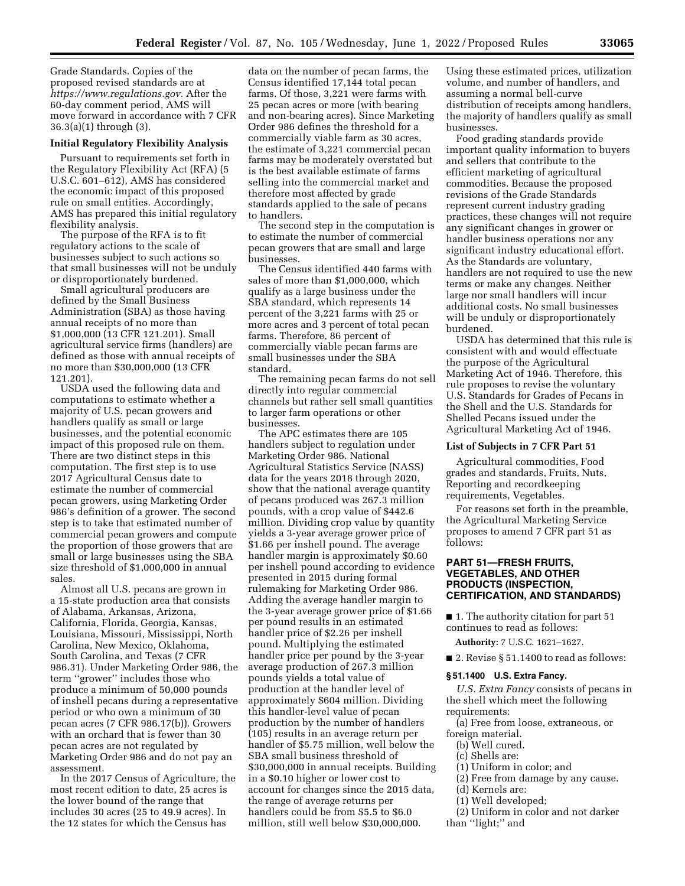Grade Standards. Copies of the proposed revised standards are at *[https://www.regulations.gov.](https://www.regulations.gov)* After the 60-day comment period, AMS will move forward in accordance with 7 CFR 36.3(a)(1) through (3).

#### **Initial Regulatory Flexibility Analysis**

Pursuant to requirements set forth in the Regulatory Flexibility Act (RFA) (5 U.S.C. 601–612), AMS has considered the economic impact of this proposed rule on small entities. Accordingly, AMS has prepared this initial regulatory flexibility analysis.

The purpose of the RFA is to fit regulatory actions to the scale of businesses subject to such actions so that small businesses will not be unduly or disproportionately burdened.

Small agricultural producers are defined by the Small Business Administration (SBA) as those having annual receipts of no more than \$1,000,000 (13 CFR 121.201). Small agricultural service firms (handlers) are defined as those with annual receipts of no more than \$30,000,000 (13 CFR 121.201).

USDA used the following data and computations to estimate whether a majority of U.S. pecan growers and handlers qualify as small or large businesses, and the potential economic impact of this proposed rule on them. There are two distinct steps in this computation. The first step is to use 2017 Agricultural Census date to estimate the number of commercial pecan growers, using Marketing Order 986's definition of a grower. The second step is to take that estimated number of commercial pecan growers and compute the proportion of those growers that are small or large businesses using the SBA size threshold of \$1,000,000 in annual sales.

Almost all U.S. pecans are grown in a 15-state production area that consists of Alabama, Arkansas, Arizona, California, Florida, Georgia, Kansas, Louisiana, Missouri, Mississippi, North Carolina, New Mexico, Oklahoma, South Carolina, and Texas (7 CFR 986.31). Under Marketing Order 986, the term ''grower'' includes those who produce a minimum of 50,000 pounds of inshell pecans during a representative period or who own a minimum of 30 pecan acres (7 CFR 986.17(b)). Growers with an orchard that is fewer than 30 pecan acres are not regulated by Marketing Order 986 and do not pay an assessment.

In the 2017 Census of Agriculture, the most recent edition to date, 25 acres is the lower bound of the range that includes 30 acres (25 to 49.9 acres). In the 12 states for which the Census has

data on the number of pecan farms, the Census identified 17,144 total pecan farms. Of those, 3,221 were farms with 25 pecan acres or more (with bearing and non-bearing acres). Since Marketing Order 986 defines the threshold for a commercially viable farm as 30 acres, the estimate of 3,221 commercial pecan farms may be moderately overstated but is the best available estimate of farms selling into the commercial market and therefore most affected by grade standards applied to the sale of pecans to handlers.

The second step in the computation is to estimate the number of commercial pecan growers that are small and large businesses.

The Census identified 440 farms with sales of more than \$1,000,000, which qualify as a large business under the SBA standard, which represents 14 percent of the 3,221 farms with 25 or more acres and 3 percent of total pecan farms. Therefore, 86 percent of commercially viable pecan farms are small businesses under the SBA standard.

The remaining pecan farms do not sell directly into regular commercial channels but rather sell small quantities to larger farm operations or other businesses.

The APC estimates there are 105 handlers subject to regulation under Marketing Order 986. National Agricultural Statistics Service (NASS) data for the years 2018 through 2020, show that the national average quantity of pecans produced was 267.3 million pounds, with a crop value of \$442.6 million. Dividing crop value by quantity yields a 3-year average grower price of \$1.66 per inshell pound. The average handler margin is approximately \$0.60 per inshell pound according to evidence presented in 2015 during formal rulemaking for Marketing Order 986. Adding the average handler margin to the 3-year average grower price of \$1.66 per pound results in an estimated handler price of \$2.26 per inshell pound. Multiplying the estimated handler price per pound by the 3-year average production of 267.3 million pounds yields a total value of production at the handler level of approximately \$604 million. Dividing this handler-level value of pecan production by the number of handlers (105) results in an average return per handler of \$5.75 million, well below the SBA small business threshold of \$30,000,000 in annual receipts. Building in a \$0.10 higher or lower cost to account for changes since the 2015 data, the range of average returns per handlers could be from \$5.5 to \$6.0 million, still well below \$30,000,000.

Using these estimated prices, utilization volume, and number of handlers, and assuming a normal bell-curve distribution of receipts among handlers, the majority of handlers qualify as small businesses.

Food grading standards provide important quality information to buyers and sellers that contribute to the efficient marketing of agricultural commodities. Because the proposed revisions of the Grade Standards represent current industry grading practices, these changes will not require any significant changes in grower or handler business operations nor any significant industry educational effort. As the Standards are voluntary, handlers are not required to use the new terms or make any changes. Neither large nor small handlers will incur additional costs. No small businesses will be unduly or disproportionately burdened.

USDA has determined that this rule is consistent with and would effectuate the purpose of the Agricultural Marketing Act of 1946. Therefore, this rule proposes to revise the voluntary U.S. Standards for Grades of Pecans in the Shell and the U.S. Standards for Shelled Pecans issued under the Agricultural Marketing Act of 1946.

#### **List of Subjects in 7 CFR Part 51**

Agricultural commodities, Food grades and standards, Fruits, Nuts, Reporting and recordkeeping requirements, Vegetables.

For reasons set forth in the preamble, the Agricultural Marketing Service proposes to amend 7 CFR part 51 as follows:

## **PART 51—FRESH FRUITS, VEGETABLES, AND OTHER PRODUCTS (INSPECTION, CERTIFICATION, AND STANDARDS)**

■ 1. The authority citation for part 51 continues to read as follows:

**Authority:** 7 U.S.C. 1621–1627.

■ 2. Revise § 51.1400 to read as follows:

#### **§ 51.1400 U.S. Extra Fancy.**

*U.S. Extra Fancy* consists of pecans in the shell which meet the following requirements:

(a) Free from loose, extraneous, or foreign material.

- (b) Well cured.
- (c) Shells are:
- (1) Uniform in color; and
- (2) Free from damage by any cause.
- (d) Kernels are:
- (1) Well developed;
- (2) Uniform in color and not darker than ''light;'' and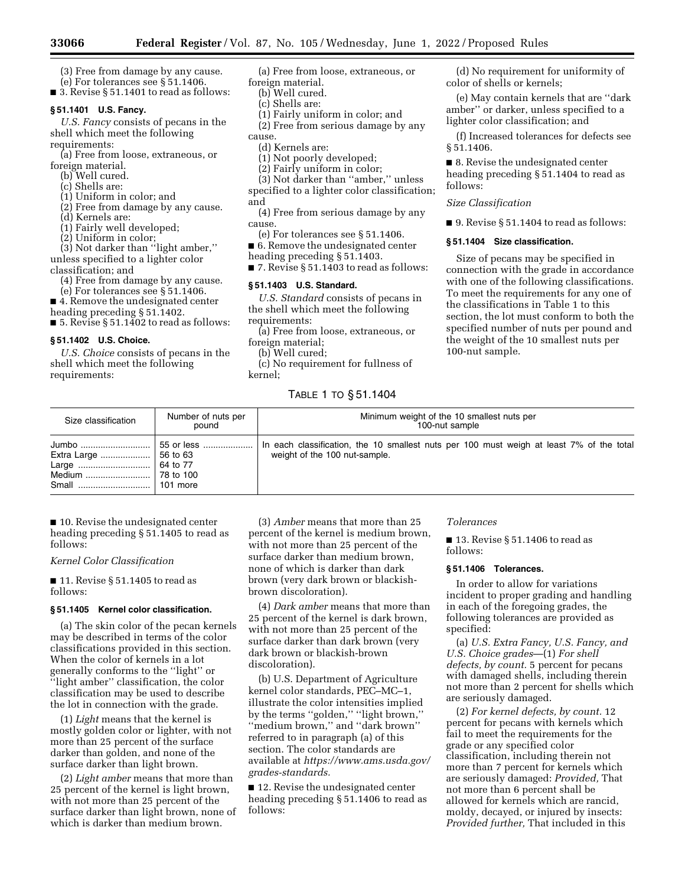- (3) Free from damage by any cause. (e) For tolerances see § 51.1406.
- 3. Revise § 51.1401 to read as follows:

# **§ 51.1401 U.S. Fancy.**

*U.S. Fancy* consists of pecans in the shell which meet the following requirements:

(a) Free from loose, extraneous, or foreign material.

- (b) Well cured.
- (c) Shells are:
- (1) Uniform in color; and

(2) Free from damage by any cause.

- (d) Kernels are:
- (1) Fairly well developed;
- (2) Uniform in color;

(3) Not darker than ''light amber,'' unless specified to a lighter color classification; and

(4) Free from damage by any cause.

(e) For tolerances see § 51.1406.

■ 4. Remove the undesignated center

heading preceding § 51.1402. ■ 5. Revise § 51.1402 to read as follows:

## **§ 51.1402 U.S. Choice.**

*U.S. Choice* consists of pecans in the shell which meet the following requirements:

(a) Free from loose, extraneous, or foreign material.

- (b) Well cured.
- (c) Shells are:
- (1) Fairly uniform in color; and

(2) Free from serious damage by any cause.

(d) Kernels are:

(1) Not poorly developed;

(2) Fairly uniform in color;

(3) Not darker than ''amber,'' unless specified to a lighter color classification; and

(4) Free from serious damage by any cause.

- (e) For tolerances see § 51.1406.
- 6. Remove the undesignated center

heading preceding § 51.1403.  $\blacksquare$  7. Revise § 51.1403 to read as follows:

#### **§ 51.1403 U.S. Standard.**

*U.S. Standard* consists of pecans in the shell which meet the following requirements:

(a) Free from loose, extraneous, or foreign material;

(b) Well cured;

(c) No requirement for fullness of kernel;

## TABLE 1 TO § 51.1404

(d) No requirement for uniformity of color of shells or kernels;

(e) May contain kernels that are ''dark amber'' or darker, unless specified to a lighter color classification; and

(f) Increased tolerances for defects see § 51.1406.

■ 8. Revise the undesignated center heading preceding § 51.1404 to read as follows:

#### *Size Classification*

■ 9. Revise § 51.1404 to read as follows:

#### **§ 51.1404 Size classification.**

Size of pecans may be specified in connection with the grade in accordance with one of the following classifications. To meet the requirements for any one of the classifications in Table 1 to this section, the lot must conform to both the specified number of nuts per pound and the weight of the 10 smallest nuts per 100-nut sample.

| Size classification | Number of nuts per<br>pound | Minimum weight of the 10 smallest nuts per<br>100-nut sample                                                              |
|---------------------|-----------------------------|---------------------------------------------------------------------------------------------------------------------------|
|                     | $\vert$ 101 more            | In each classification, the 10 smallest nuts per 100 must weigh at least 7% of the total<br>weight of the 100 nut-sample. |

■ 10. Revise the undesignated center heading preceding § 51.1405 to read as follows:

*Kernel Color Classification* 

■ 11. Revise § 51.1405 to read as follows:

## **§ 51.1405 Kernel color classification.**

(a) The skin color of the pecan kernels may be described in terms of the color classifications provided in this section. When the color of kernels in a lot generally conforms to the ''light'' or ''light amber'' classification, the color classification may be used to describe the lot in connection with the grade.

(1) *Light* means that the kernel is mostly golden color or lighter, with not more than 25 percent of the surface darker than golden, and none of the surface darker than light brown.

(2) *Light amber* means that more than 25 percent of the kernel is light brown, with not more than 25 percent of the surface darker than light brown, none of which is darker than medium brown.

(3) *Amber* means that more than 25 percent of the kernel is medium brown, with not more than 25 percent of the surface darker than medium brown, none of which is darker than dark brown (very dark brown or blackishbrown discoloration).

(4) *Dark amber* means that more than 25 percent of the kernel is dark brown, with not more than 25 percent of the surface darker than dark brown (very dark brown or blackish-brown discoloration).

(b) U.S. Department of Agriculture kernel color standards, PEC–MC–1, illustrate the color intensities implied by the terms "golden," "light brown," ''medium brown,'' and ''dark brown'' referred to in paragraph (a) of this section. The color standards are available at *[https://www.ams.usda.gov/](https://www.ams.usda.gov/grades-standards)  [grades-standards.](https://www.ams.usda.gov/grades-standards)* 

■ 12. Revise the undesignated center heading preceding § 51.1406 to read as follows:

#### *Tolerances*

■ 13. Revise § 51.1406 to read as follows:

#### **§ 51.1406 Tolerances.**

In order to allow for variations incident to proper grading and handling in each of the foregoing grades, the following tolerances are provided as specified:

(a) *U.S. Extra Fancy, U.S. Fancy, and U.S. Choice grades*—(1) *For shell defects, by count.* 5 percent for pecans with damaged shells, including therein not more than 2 percent for shells which are seriously damaged.

(2) *For kernel defects, by count.* 12 percent for pecans with kernels which fail to meet the requirements for the grade or any specified color classification, including therein not more than 7 percent for kernels which are seriously damaged: *Provided,* That not more than 6 percent shall be allowed for kernels which are rancid, moldy, decayed, or injured by insects: *Provided further,* That included in this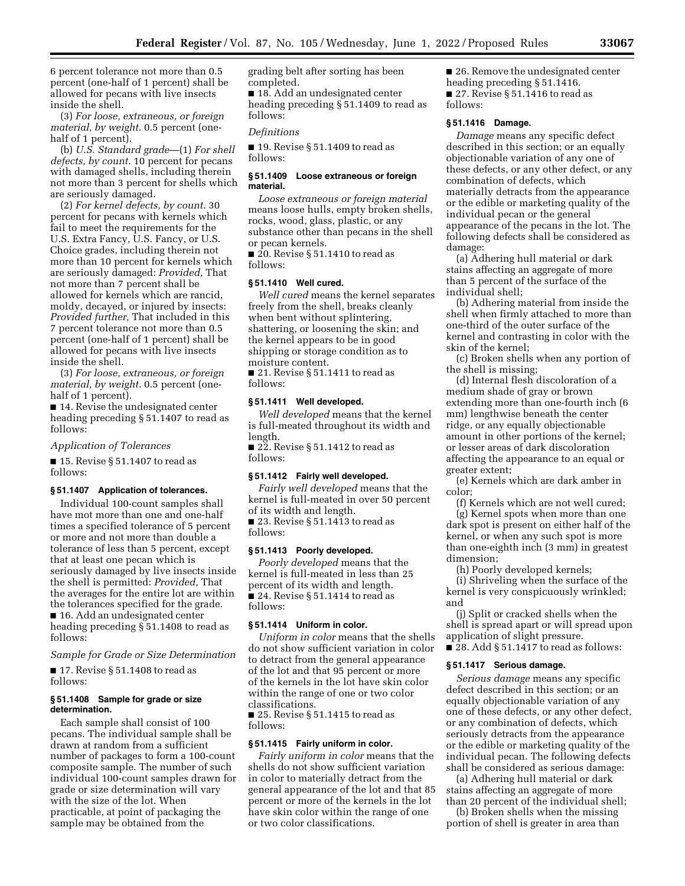6 percent tolerance not more than 0.5 percent (one-half of 1 percent) shall be allowed for pecans with live insects inside the shell.

(3) *For loose, extraneous, or foreign material, by weight.* 0.5 percent (onehalf of 1 percent).

(b) *U.S. Standard grade*—(1) *For shell defects, by count.* 10 percent for pecans with damaged shells, including therein not more than 3 percent for shells which are seriously damaged.

(2) *For kernel defects, by count.* 30 percent for pecans with kernels which fail to meet the requirements for the U.S. Extra Fancy, U.S. Fancy, or U.S. Choice grades, including therein not more than 10 percent for kernels which are seriously damaged: *Provided,* That not more than 7 percent shall be allowed for kernels which are rancid, moldy, decayed, or injured by insects: *Provided further,* That included in this 7 percent tolerance not more than 0.5 percent (one-half of 1 percent) shall be allowed for pecans with live insects inside the shell.

(3) *For loose, extraneous, or foreign material, by weight.* 0.5 percent (onehalf of 1 percent).

■ 14. Revise the undesignated center heading preceding § 51.1407 to read as follows:

*Application of Tolerances* 

■ 15. Revise § 51.1407 to read as follows:

#### **§ 51.1407 Application of tolerances.**

Individual 100-count samples shall have mot more than one and one-half times a specified tolerance of 5 percent or more and not more than double a tolerance of less than 5 percent, except that at least one pecan which is seriously damaged by live insects inside the shell is permitted: *Provided,* That the averages for the entire lot are within the tolerances specified for the grade.

■ 16. Add an undesignated center heading preceding § 51.1408 to read as follows:

*Sample for Grade or Size Determination* 

■ 17. Revise § 51.1408 to read as follows:

## **§ 51.1408 Sample for grade or size determination.**

Each sample shall consist of 100 pecans. The individual sample shall be drawn at random from a sufficient number of packages to form a 100-count composite sample. The number of such individual 100-count samples drawn for grade or size determination will vary with the size of the lot. When practicable, at point of packaging the sample may be obtained from the

grading belt after sorting has been completed.

■ 18. Add an undesignated center heading preceding § 51.1409 to read as follows:

#### *Definitions*

■ 19. Revise § 51.1409 to read as follows:

#### **§ 51.1409 Loose extraneous or foreign material.**

*Loose extraneous or foreign material*  means loose hulls, empty broken shells, rocks, wood, glass, plastic, or any substance other than pecans in the shell or pecan kernels.

 $\overline{20}$ . Revise § 51.1410 to read as follows:

## **§ 51.1410 Well cured.**

*Well cured* means the kernel separates freely from the shell, breaks cleanly when bent without splintering, shattering, or loosening the skin; and the kernel appears to be in good shipping or storage condition as to moisture content.

■ 21. Revise § 51.1411 to read as follows:

## **§ 51.1411 Well developed.**

*Well developed* means that the kernel is full-meated throughout its width and length.

 $\blacksquare$  22. Revise § 51.1412 to read as follows:

## **§ 51.1412 Fairly well developed.**

*Fairly well developed* means that the kernel is full-meated in over 50 percent of its width and length.

■ 23. Revise § 51.1413 to read as follows:

#### **§ 51.1413 Poorly developed.**

*Poorly developed* means that the kernel is full-meated in less than 25 percent of its width and length.  $\blacksquare$  24. Revise § 51.1414 to read as follows:

#### **§ 51.1414 Uniform in color.**

*Uniform in color* means that the shells do not show sufficient variation in color to detract from the general appearance of the lot and that 95 percent or more of the kernels in the lot have skin color within the range of one or two color classifications.

■ 25. Revise § 51.1415 to read as follows:

#### **§ 51.1415 Fairly uniform in color.**

*Fairly uniform in color* means that the shells do not show sufficient variation in color to materially detract from the general appearance of the lot and that 85 percent or more of the kernels in the lot have skin color within the range of one or two color classifications.

■ 26. Remove the undesignated center heading preceding § 51.1416. ■ 27. Revise § 51.1416 to read as follows:

## **§ 51.1416 Damage.**

*Damage* means any specific defect described in this section; or an equally objectionable variation of any one of these defects, or any other defect, or any combination of defects, which materially detracts from the appearance or the edible or marketing quality of the individual pecan or the general appearance of the pecans in the lot. The following defects shall be considered as damage:

(a) Adhering hull material or dark stains affecting an aggregate of more than 5 percent of the surface of the individual shell;

(b) Adhering material from inside the shell when firmly attached to more than one-third of the outer surface of the kernel and contrasting in color with the skin of the kernel;

(c) Broken shells when any portion of the shell is missing;

(d) Internal flesh discoloration of a medium shade of gray or brown extending more than one-fourth inch (6 mm) lengthwise beneath the center ridge, or any equally objectionable amount in other portions of the kernel; or lesser areas of dark discoloration affecting the appearance to an equal or greater extent;

(e) Kernels which are dark amber in color;

(f) Kernels which are not well cured; (g) Kernel spots when more than one

dark spot is present on either half of the kernel, or when any such spot is more than one-eighth inch (3 mm) in greatest dimension;

(h) Poorly developed kernels;

(i) Shriveling when the surface of the kernel is very conspicuously wrinkled; and

(j) Split or cracked shells when the shell is spread apart or will spread upon application of slight pressure.  $\blacksquare$  28. Add § 51.1417 to read as follows:

# **§ 51.1417 Serious damage.**

*Serious damage* means any specific defect described in this section; or an equally objectionable variation of any one of these defects, or any other defect, or any combination of defects, which seriously detracts from the appearance or the edible or marketing quality of the individual pecan. The following defects shall be considered as serious damage:

(a) Adhering hull material or dark stains affecting an aggregate of more than 20 percent of the individual shell;

(b) Broken shells when the missing portion of shell is greater in area than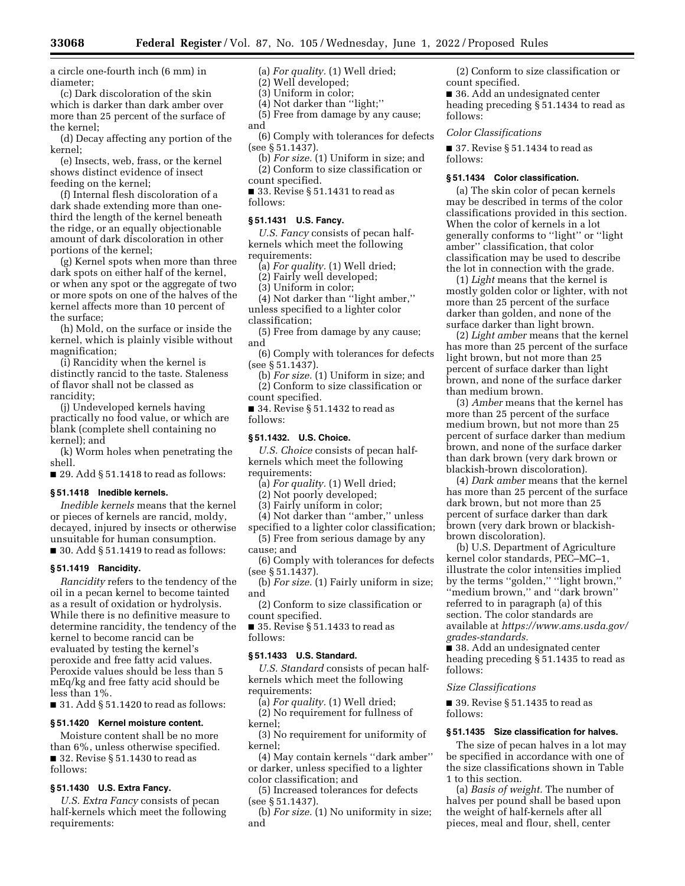a circle one-fourth inch (6 mm) in diameter;

(c) Dark discoloration of the skin which is darker than dark amber over more than 25 percent of the surface of the kernel;

(d) Decay affecting any portion of the kernel;

(e) Insects, web, frass, or the kernel shows distinct evidence of insect feeding on the kernel;

(f) Internal flesh discoloration of a dark shade extending more than onethird the length of the kernel beneath the ridge, or an equally objectionable amount of dark discoloration in other portions of the kernel;

(g) Kernel spots when more than three dark spots on either half of the kernel, or when any spot or the aggregate of two or more spots on one of the halves of the kernel affects more than 10 percent of the surface;

(h) Mold, on the surface or inside the kernel, which is plainly visible without magnification;

(i) Rancidity when the kernel is distinctly rancid to the taste. Staleness of flavor shall not be classed as rancidity;

(j) Undeveloped kernels having practically no food value, or which are blank (complete shell containing no kernel); and

(k) Worm holes when penetrating the shell.

 $\blacksquare$  29. Add § 51.1418 to read as follows:

## **§ 51.1418 Inedible kernels.**

*Inedible kernels* means that the kernel or pieces of kernels are rancid, moldy, decayed, injured by insects or otherwise unsuitable for human consumption.  $\blacksquare$  30. Add § 51.1419 to read as follows:

#### **§ 51.1419 Rancidity.**

*Rancidity* refers to the tendency of the oil in a pecan kernel to become tainted as a result of oxidation or hydrolysis. While there is no definitive measure to determine rancidity, the tendency of the kernel to become rancid can be evaluated by testing the kernel's peroxide and free fatty acid values. Peroxide values should be less than 5 mEq/kg and free fatty acid should be less than 1%.

 $\blacksquare$  31. Add § 51.1420 to read as follows:

#### **§ 51.1420 Kernel moisture content.**

Moisture content shall be no more than 6%, unless otherwise specified.  $\blacksquare$  32. Revise § 51.1430 to read as follows:

# **§ 51.1430 U.S. Extra Fancy.**

*U.S. Extra Fancy* consists of pecan half-kernels which meet the following requirements:

(a) *For quality.* (1) Well dried;

(2) Well developed;

(3) Uniform in color;

(4) Not darker than ''light;''

(5) Free from damage by any cause; and

(6) Comply with tolerances for defects (see § 51.1437).

(b) *For size.* (1) Uniform in size; and (2) Conform to size classification or count specified.

■ 33. Revise § 51.1431 to read as follows:

#### **§ 51.1431 U.S. Fancy.**

*U.S. Fancy* consists of pecan halfkernels which meet the following requirements:

(a) *For quality.* (1) Well dried;

(2) Fairly well developed;

(3) Uniform in color;

(4) Not darker than ''light amber,'' unless specified to a lighter color classification;

(5) Free from damage by any cause;

and

(6) Comply with tolerances for defects (see § 51.1437).

(b) *For size.* (1) Uniform in size; and (2) Conform to size classification or count specified.

■ 34. Revise § 51.1432 to read as follows:

#### **§ 51.1432. U.S. Choice.**

*U.S. Choice* consists of pecan halfkernels which meet the following requirements:

(a) *For quality.* (1) Well dried;

(2) Not poorly developed;

(3) Fairly uniform in color;

(4) Not darker than ''amber,'' unless specified to a lighter color classification;

(5) Free from serious damage by any cause; and

(6) Comply with tolerances for defects (see § 51.1437).

(b) *For size.* (1) Fairly uniform in size; and

(2) Conform to size classification or count specified.

■ 35. Revise § 51.1433 to read as follows:

#### **§ 51.1433 U.S. Standard.**

*U.S. Standard* consists of pecan halfkernels which meet the following requirements:

(a) *For quality.* (1) Well dried; (2) No requirement for fullness of kernel;

(3) No requirement for uniformity of kernel;

(4) May contain kernels ''dark amber'' or darker, unless specified to a lighter color classification; and

(5) Increased tolerances for defects (see § 51.1437).

(b) *For size.* (1) No uniformity in size; and

(2) Conform to size classification or count specified.

■ 36. Add an undesignated center heading preceding § 51.1434 to read as follows:

#### *Color Classifications*

■ 37. Revise § 51.1434 to read as follows:

#### **§ 51.1434 Color classification.**

(a) The skin color of pecan kernels may be described in terms of the color classifications provided in this section. When the color of kernels in a lot generally conforms to ''light'' or ''light amber'' classification, that color classification may be used to describe the lot in connection with the grade.

(1) *Light* means that the kernel is mostly golden color or lighter, with not more than 25 percent of the surface darker than golden, and none of the surface darker than light brown.

(2) *Light amber* means that the kernel has more than 25 percent of the surface light brown, but not more than 25 percent of surface darker than light brown, and none of the surface darker than medium brown.

(3) *Amber* means that the kernel has more than 25 percent of the surface medium brown, but not more than 25 percent of surface darker than medium brown, and none of the surface darker than dark brown (very dark brown or blackish-brown discoloration).

(4) *Dark amber* means that the kernel has more than 25 percent of the surface dark brown, but not more than 25 percent of surface darker than dark brown (very dark brown or blackishbrown discoloration).

(b) U.S. Department of Agriculture kernel color standards, PEC–MC–1, illustrate the color intensities implied by the terms ''golden,'' ''light brown,'' ''medium brown,'' and ''dark brown'' referred to in paragraph (a) of this section. The color standards are available at *[https://www.ams.usda.gov/](https://www.ams.usda.gov/grades-standards)  [grades-standards.](https://www.ams.usda.gov/grades-standards)* 

■ 38. Add an undesignated center heading preceding § 51.1435 to read as follows:

#### *Size Classifications*

■ 39. Revise § 51.1435 to read as follows:

#### **§ 51.1435 Size classification for halves.**

The size of pecan halves in a lot may be specified in accordance with one of the size classifications shown in Table 1 to this section.

(a) *Basis of weight.* The number of halves per pound shall be based upon the weight of half-kernels after all pieces, meal and flour, shell, center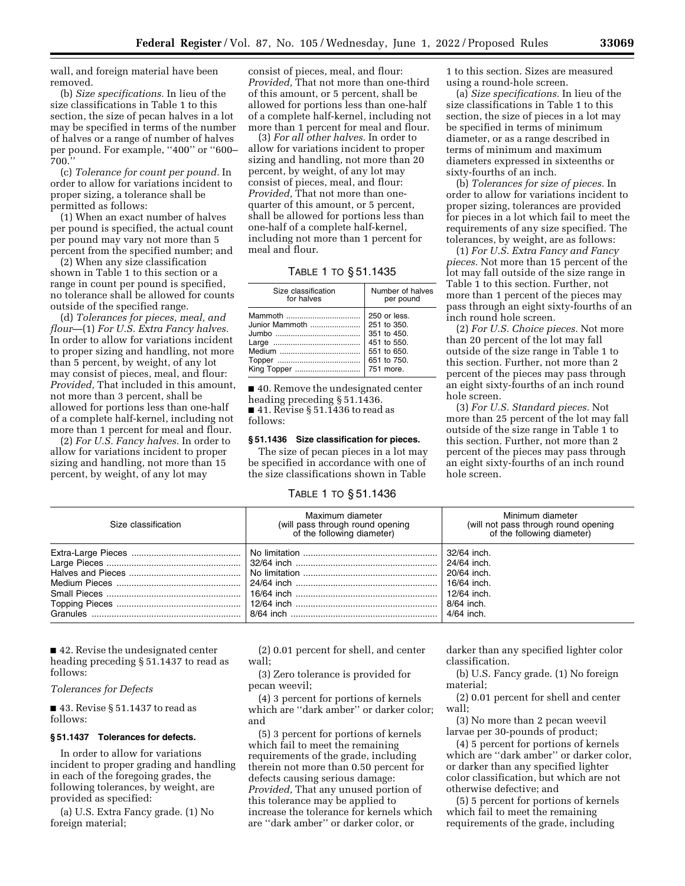wall, and foreign material have been removed.

(b) *Size specifications.* In lieu of the size classifications in Table 1 to this section, the size of pecan halves in a lot may be specified in terms of the number of halves or a range of number of halves per pound. For example, ''400'' or ''600– 700.''

(c) *Tolerance for count per pound.* In order to allow for variations incident to proper sizing, a tolerance shall be permitted as follows:

(1) When an exact number of halves per pound is specified, the actual count per pound may vary not more than 5 percent from the specified number; and

(2) When any size classification shown in Table 1 to this section or a range in count per pound is specified, no tolerance shall be allowed for counts outside of the specified range.

(d) *Tolerances for pieces, meal, and flour*—(1) *For U.S. Extra Fancy halves.*  In order to allow for variations incident to proper sizing and handling, not more than 5 percent, by weight, of any lot may consist of pieces, meal, and flour: *Provided,* That included in this amount, not more than 3 percent, shall be allowed for portions less than one-half of a complete half-kernel, including not more than 1 percent for meal and flour.

(2) *For U.S. Fancy halves.* In order to allow for variations incident to proper sizing and handling, not more than 15 percent, by weight, of any lot may

consist of pieces, meal, and flour: *Provided,* That not more than one-third of this amount, or 5 percent, shall be allowed for portions less than one-half of a complete half-kernel, including not more than 1 percent for meal and flour.

(3) *For all other halves.* In order to allow for variations incident to proper sizing and handling, not more than 20 percent, by weight, of any lot may consist of pieces, meal, and flour: *Provided,* That not more than onequarter of this amount, or 5 percent, shall be allowed for portions less than one-half of a complete half-kernel, including not more than 1 percent for meal and flour.

# TABLE 1 TO § 51.1435

| Size classification                                                                                                                                                                                                                | Number of halves |
|------------------------------------------------------------------------------------------------------------------------------------------------------------------------------------------------------------------------------------|------------------|
| for halves                                                                                                                                                                                                                         | per pound        |
| Mammoth                                                                                                                                                                                                                            | 250 or less.     |
| Junior Mammoth                                                                                                                                                                                                                     | 251 to 350.      |
| $\mathsf{I}$ umbo alian di sebagai sebagai sebagai sebagai sebagai sebagai sebagai sebagai sebagai sebagai sebagai sebagai sebagai sebagai sebagai sebagai sebagai sebagai sebagai sebagai sebagai sebagai sebagai sebagai sebagai | 351 to 450.      |
|                                                                                                                                                                                                                                    | 451 to 550.      |
|                                                                                                                                                                                                                                    | 551 to 650.      |
|                                                                                                                                                                                                                                    | 651 to 750.      |
| King Topper                                                                                                                                                                                                                        | 751 more.        |

■ 40. Remove the undesignated center heading preceding § 51.1436.  $\blacksquare$  41. Revise § 51.1436 to read as follows:

## **§ 51.1436 Size classification for pieces.**

The size of pecan pieces in a lot may be specified in accordance with one of the size classifications shown in Table

## TABLE 1 TO § 51.1436

1 to this section. Sizes are measured using a round-hole screen.

(a) *Size specifications.* In lieu of the size classifications in Table 1 to this section, the size of pieces in a lot may be specified in terms of minimum diameter, or as a range described in terms of minimum and maximum diameters expressed in sixteenths or sixty-fourths of an inch.

(b) *Tolerances for size of pieces.* In order to allow for variations incident to proper sizing, tolerances are provided for pieces in a lot which fail to meet the requirements of any size specified. The tolerances, by weight, are as follows:

(1) *For U.S. Extra Fancy and Fancy pieces.* Not more than 15 percent of the lot may fall outside of the size range in Table 1 to this section. Further, not more than 1 percent of the pieces may pass through an eight sixty-fourths of an inch round hole screen.

(2) *For U.S. Choice pieces.* Not more than 20 percent of the lot may fall outside of the size range in Table 1 to this section. Further, not more than 2 percent of the pieces may pass through an eight sixty-fourths of an inch round hole screen.

(3) *For U.S. Standard pieces.* Not more than 25 percent of the lot may fall outside of the size range in Table 1 to this section. Further, not more than 2 percent of the pieces may pass through an eight sixty-fourths of an inch round hole screen.

| Size classification | Maximum diameter<br>(will pass through round opening<br>of the following diameter) | Minimum diameter<br>(will not pass through round opening)<br>of the following diameter)             |
|---------------------|------------------------------------------------------------------------------------|-----------------------------------------------------------------------------------------------------|
|                     |                                                                                    | 32/64 inch.<br>24/64 inch.<br>20/64 inch.<br>16/64 inch.<br>12/64 inch.<br>8/64 inch.<br>4/64 inch. |

■ 42. Revise the undesignated center heading preceding § 51.1437 to read as follows:

*Tolerances for Defects* 

■ 43. Revise § 51.1437 to read as follows:

#### **§ 51.1437 Tolerances for defects.**

In order to allow for variations incident to proper grading and handling in each of the foregoing grades, the following tolerances, by weight, are provided as specified:

(a) U.S. Extra Fancy grade. (1) No foreign material;

(2) 0.01 percent for shell, and center wall;

(3) Zero tolerance is provided for pecan weevil;

(4) 3 percent for portions of kernels which are ''dark amber'' or darker color; and

(5) 3 percent for portions of kernels which fail to meet the remaining requirements of the grade, including therein not more than 0.50 percent for defects causing serious damage: *Provided,* That any unused portion of this tolerance may be applied to increase the tolerance for kernels which are ''dark amber'' or darker color, or

darker than any specified lighter color classification.

(b) U.S. Fancy grade. (1) No foreign material;

(2) 0.01 percent for shell and center wall;

(3) No more than 2 pecan weevil larvae per 30-pounds of product;

(4) 5 percent for portions of kernels which are ''dark amber'' or darker color, or darker than any specified lighter color classification, but which are not otherwise defective; and

(5) 5 percent for portions of kernels which fail to meet the remaining requirements of the grade, including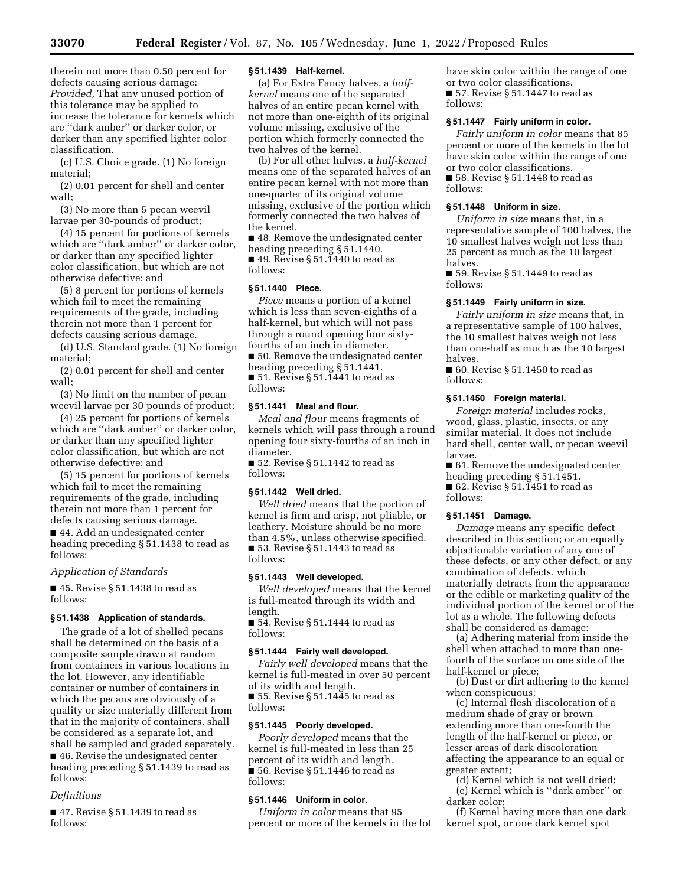therein not more than 0.50 percent for defects causing serious damage: *Provided,* That any unused portion of this tolerance may be applied to increase the tolerance for kernels which are ''dark amber'' or darker color, or darker than any specified lighter color classification.

(c) U.S. Choice grade. (1) No foreign material;

(2) 0.01 percent for shell and center wall;

(3) No more than 5 pecan weevil larvae per 30-pounds of product;

(4) 15 percent for portions of kernels which are ''dark amber'' or darker color, or darker than any specified lighter color classification, but which are not otherwise defective; and

(5) 8 percent for portions of kernels which fail to meet the remaining requirements of the grade, including therein not more than 1 percent for defects causing serious damage.

(d) U.S. Standard grade. (1) No foreign material;

(2) 0.01 percent for shell and center wall;

(3) No limit on the number of pecan weevil larvae per 30 pounds of product;

(4) 25 percent for portions of kernels which are ''dark amber'' or darker color, or darker than any specified lighter color classification, but which are not otherwise defective; and

(5) 15 percent for portions of kernels which fail to meet the remaining requirements of the grade, including therein not more than 1 percent for defects causing serious damage.

■ 44. Add an undesignated center heading preceding § 51.1438 to read as follows:

#### *Application of Standards*

■ 45. Revise § 51.1438 to read as follows:

#### **§ 51.1438 Application of standards.**

The grade of a lot of shelled pecans shall be determined on the basis of a composite sample drawn at random from containers in various locations in the lot. However, any identifiable container or number of containers in which the pecans are obviously of a quality or size materially different from that in the majority of containers, shall be considered as a separate lot, and shall be sampled and graded separately. ■ 46. Revise the undesignated center

heading preceding § 51.1439 to read as follows:

#### *Definitions*

■ 47. Revise § 51.1439 to read as follows:

## **§ 51.1439 Half-kernel.**

(a) For Extra Fancy halves, a *halfkernel* means one of the separated halves of an entire pecan kernel with not more than one-eighth of its original volume missing, exclusive of the portion which formerly connected the two halves of the kernel.

(b) For all other halves, a *half-kernel*  means one of the separated halves of an entire pecan kernel with not more than one-quarter of its original volume missing, exclusive of the portion which formerly connected the two halves of the kernel.

■ 48. Remove the undesignated center heading preceding § 51.1440.  $\blacksquare$  49. Revise § 51.1440 to read as follows:

#### **§ 51.1440 Piece.**

*Piece* means a portion of a kernel which is less than seven-eighths of a half-kernel, but which will not pass through a round opening four sixtyfourths of an inch in diameter. ■ 50. Remove the undesignated center heading preceding § 51.1441. ■ 51. Revise § 51.1441 to read as follows:

#### **§ 51.1441 Meal and flour.**

*Meal and flour* means fragments of kernels which will pass through a round opening four sixty-fourths of an inch in diameter.

■ 52. Revise § 51.1442 to read as follows:

#### **§ 51.1442 Well dried.**

*Well dried* means that the portion of kernel is firm and crisp, not pliable, or leathery. Moisture should be no more than 4.5%, unless otherwise specified. ■ 53. Revise § 51.1443 to read as follows:

#### **§ 51.1443 Well developed.**

*Well developed* means that the kernel is full-meated through its width and length.

 $\blacksquare$  54. Revise § 51.1444 to read as follows:

#### **§ 51.1444 Fairly well developed.**

*Fairly well developed* means that the kernel is full-meated in over 50 percent of its width and length.

■ 55. Revise § 51.1445 to read as follows:

## **§ 51.1445 Poorly developed.**

*Poorly developed* means that the kernel is full-meated in less than 25 percent of its width and length.  $\overline{\bullet}$  56. Revise § 51.1446 to read as follows:

#### **§ 51.1446 Uniform in color.**

*Uniform in color* means that 95 percent or more of the kernels in the lot have skin color within the range of one or two color classifications. ■ 57. Revise § 51.1447 to read as follows:

## **§ 51.1447 Fairly uniform in color.**

*Fairly uniform in color* means that 85 percent or more of the kernels in the lot have skin color within the range of one or two color classifications.

■ 58. Revise § 51.1448 to read as follows:

## **§ 51.1448 Uniform in size.**

*Uniform in size* means that, in a representative sample of 100 halves, the 10 smallest halves weigh not less than 25 percent as much as the 10 largest halves.

■ 59. Revise § 51.1449 to read as follows:

#### **§ 51.1449 Fairly uniform in size.**

*Fairly uniform in size* means that, in a representative sample of 100 halves, the 10 smallest halves weigh not less than one-half as much as the 10 largest halves.

■ 60. Revise § 51.1450 to read as follows:

#### **§ 51.1450 Foreign material.**

*Foreign material* includes rocks, wood, glass, plastic, insects, or any similar material. It does not include hard shell, center wall, or pecan weevil larvae.

■ 61. Remove the undesignated center

heading preceding § 51.1451.  $\blacksquare$  62. Revise § 51.1451 to read as follows:

#### **§ 51.1451 Damage.**

*Damage* means any specific defect described in this section; or an equally objectionable variation of any one of these defects, or any other defect, or any combination of defects, which materially detracts from the appearance or the edible or marketing quality of the individual portion of the kernel or of the lot as a whole. The following defects shall be considered as damage:

(a) Adhering material from inside the shell when attached to more than onefourth of the surface on one side of the half-kernel or piece;

(b) Dust or dirt adhering to the kernel when conspicuous;

(c) Internal flesh discoloration of a medium shade of gray or brown extending more than one-fourth the length of the half-kernel or piece, or lesser areas of dark discoloration affecting the appearance to an equal or greater extent;

(d) Kernel which is not well dried; (e) Kernel which is ''dark amber'' or darker color;

(f) Kernel having more than one dark kernel spot, or one dark kernel spot